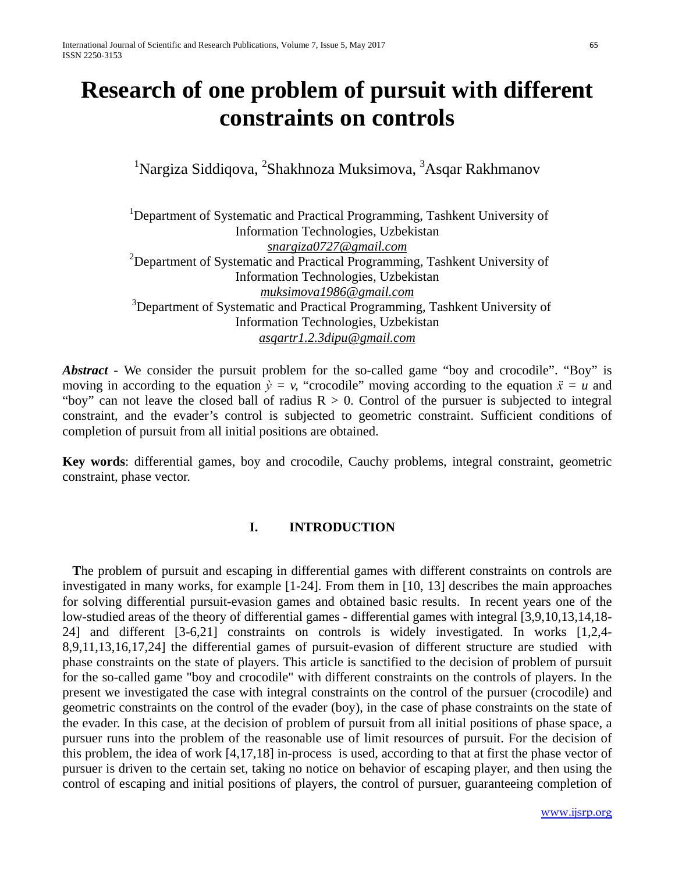# **Research of one problem of pursuit with different constraints on controls**

<sup>1</sup>Nargiza Siddiqova, <sup>2</sup>Shakhnoza Muksimova, <sup>3</sup>Asqar Rakhmanov

<sup>1</sup>Department of Systematic and Practical Programming, Tashkent University of Information Technologies, Uzbekistan *snargiza0727@gmail.com* <sup>2</sup>Department of Systematic and Practical Programming, Tashkent University of Information Technologies, Uzbekistan *muksimova1986@gmail.com* <sup>3</sup>Department of Systematic and Practical Programming, Tashkent University of Information Technologies, Uzbekistan *asqartr1.2.3dipu@gmail.com*

*Abstract* - We consider the pursuit problem for the so-called game "boy and crocodile". "Boy" is moving in according to the equation  $\dot{y} = y$ , "crocodile" moving according to the equation  $\ddot{x} = u$  and "boy" can not leave the closed ball of radius  $R > 0$ . Control of the pursuer is subjected to integral constraint, and the evader's control is subjected to geometric constraint. Sufficient conditions of completion of pursuit from all initial positions are obtained.

**Key words**: differential games, boy and crocodile, Cauchy problems, integral constraint, geometric constraint, phase vector.

## **I. INTRODUCTION**

**T**he problem of pursuit and escaping in differential games with different constraints on controls are investigated in many works, for example [1-24]. From them in [10, 13] describes the main approaches for solving differential pursuit-evasion games and obtained basic results. In recent years one of the low-studied areas of the theory of differential games - differential games with integral [3,9,10,13,14,18- 24] and different [3-6,21] constraints on controls is widely investigated. In works [1,2,4- 8,9,11,13,16,17,24] the differential games of pursuit-evasion of different structure are studied with phase constraints on the state of players. This article is sanctified to the decision of problem of pursuit for the so-called game "boy and crocodile" with different constraints on the controls of players. In the present we investigated the case with integral constraints on the control of the pursuer (crocodile) and geometric constraints on the control of the evader (boy), in the case of phase constraints on the state of the evader. In this case, at the decision of problem of pursuit from all initial positions of phase space, a pursuer runs into the problem of the reasonable use of limit resources of pursuit. For the decision of this problem, the idea of work [4,17,18] in-process is used, according to that at first the phase vector of pursuer is driven to the certain set, taking no notice on behavior of escaping player, and then using the control of escaping and initial positions of players, the control of pursuer, guaranteeing completion of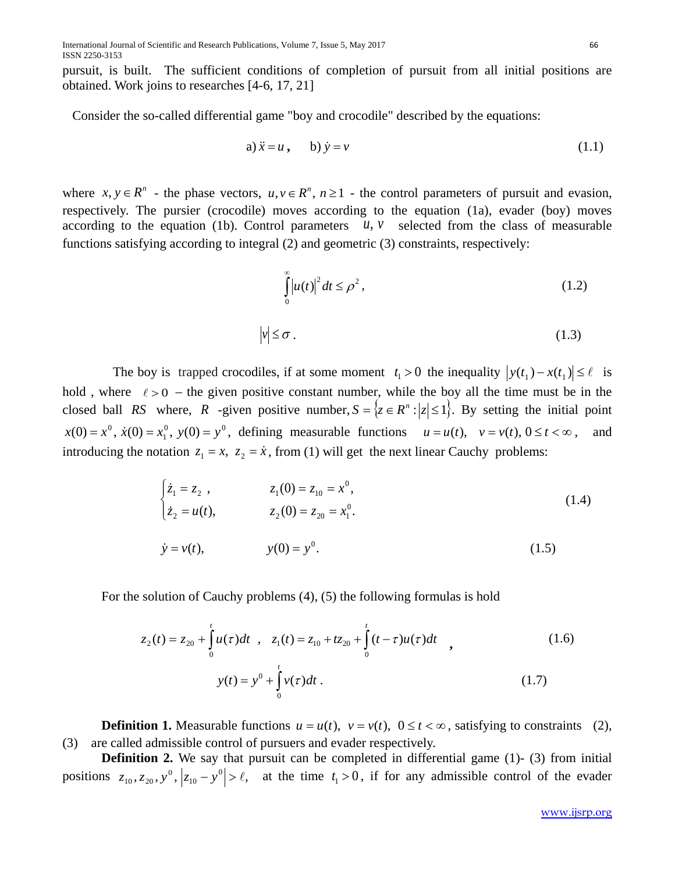pursuit, is built. The sufficient conditions of completion of pursuit from all initial positions are obtained. Work joins to researches [4-6, 17, 21]

Consider the so-called differential game "boy and crocodile" described by the equations:

a) 
$$
\ddot{x} = u
$$
, b)  $\dot{y} = v$  (1.1)

where  $x, y \in R^n$  - the phase vectors,  $u, v \in R^n$ ,  $n \ge 1$  - the control parameters of pursuit and evasion, respectively. The pursier (crocodile) moves according to the equation (1a), evader (boy) moves according to the equation (1b). Control parameters  $u, v$  selected from the class of measurable functions satisfying according to integral (2) and geometric (3) constraints, respectively:

$$
\int_{0}^{\infty} \left| u(t) \right|^2 dt \le \rho^2, \tag{1.2}
$$

$$
|v| \le \sigma \,. \tag{1.3}
$$

The boy is trapped crocodiles, if at some moment  $t_1 > 0$  the inequality  $|y(t_1) - x(t_1)| \le \ell$  is hold, where  $\ell > 0$  – the given positive constant number, while the boy all the time must be in the closed ball *RS* where, *R* -given positive number,  $S = \{z \in R^n : |z| \leq 1\}$ . By setting the initial point  $^{0}$   $^{0}$   $^{0}$   $^{0}$   $^{0}$  $x(0) = x^0$ ,  $\dot{x}(0) = x_1^0$ ,  $y(0) = y^0$ , defining measurable functions  $u = u(t)$ ,  $v = v(t)$ ,  $0 \le t < \infty$ , and introducing the notation  $z_1 = x$ ,  $z_2 = \dot{x}$ , from (1) will get the next linear Cauchy problems:

$$
\begin{cases}\n\dot{z}_1 = z_2, & z_1(0) = z_{10} = x^0, \\
\dot{z}_2 = u(t), & z_2(0) = z_{20} = x_1^0.\n\end{cases}
$$
\n(1.4)\n  
\n
$$
\dot{y} = v(t), \qquad y(0) = y^0.
$$

For the solution of Cauchy problems (4), (5) the following formulas is hold

$$
z_2(t) = z_{20} + \int_0^t u(\tau)dt , \quad z_1(t) = z_{10} + tz_{20} + \int_0^t (t - \tau)u(\tau)dt ,
$$
  

$$
y(t) = y^0 + \int_0^t v(\tau)dt .
$$
 (1.7)

**Definition 1.** Measurable functions  $u = u(t)$ ,  $v = v(t)$ ,  $0 \le t < \infty$ , satisfying to constraints (2), (3) are called admissible control of pursuers and evader respectively.

**Definition 2.** We say that pursuit can be completed in differential game (1)-(3) from initial positions  $z_{10}, z_{20}, y^0, |z_{10} - y^0| > \ell$ , at the time  $t_1 > 0$ , if for any admissible control of the evader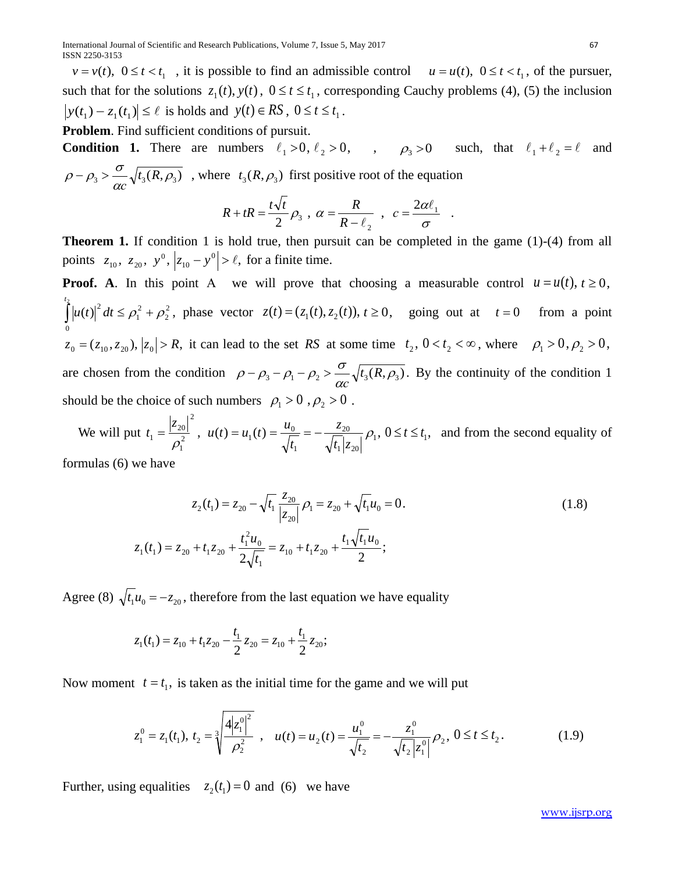$v = v(t)$ ,  $0 \le t < t_1$ , it is possible to find an admissible control  $u = u(t)$ ,  $0 \le t < t_1$ , of the pursuer, such that for the solutions  $z_1(t)$ ,  $y(t)$ ,  $0 \le t \le t_1$ , corresponding Cauchy problems (4), (5) the inclusion  $|y(t_1) - z_1(t_1)| \le \ell$  is holds and  $y(t) \in RS$ ,  $0 \le t \le t_1$ .

**Problem**. Find sufficient conditions of pursuit.

**Condition 1.** There are numbers  $\ell_1 > 0$ ,  $\ell_2 > 0$ , ,  $\rho_3 > 0$  such, that  $\ell_1 + \ell_2 = \ell$  and  $b_3 > \frac{6}{\alpha c} \sqrt{t_3(R,\rho_3)}$  $\rho - \rho_3 > \frac{\sigma}{\alpha c} \sqrt{t_3(R, \rho_3)}$ , where  $t_3(R, \rho_3)$  first positive root of the equation

$$
R + tR = \frac{t\sqrt{t}}{2}\rho_3 \, , \, \alpha = \frac{R}{R - \ell_2} \, , \, c = \frac{2\alpha\ell_1}{\sigma} \, .
$$

**Theorem 1.** If condition 1 is hold true, then pursuit can be completed in the game (1)-(4) from all points  $z_{10}$ ,  $z_{20}$ ,  $y^0$ ,  $|z_{10} - y^0| > \ell$ , for a finite time.

**Proof.** A. In this point A we will prove that choosing a measurable control  $u = u(t)$ ,  $t \ge 0$ , 2 2 2 1  $\mathbf{0}$  $\int_{a}^{2} |u(t)|^{2} dt \leq \rho_1^{2} + \rho_2$ *t*  $u(t)\vert^2 dt \le \rho_1^2 + \rho_2^2$ , phase vector  $z(t) = (z_1(t), z_2(t)), t \ge 0$ , going out at  $t = 0$  from a point  $z_0 = (z_{10}, z_{20})$ ,  $|z_0| > R$ , it can lead to the set *RS* at some time  $t_2$ ,  $0 < t_2 < \infty$ , where  $\rho_1 > 0$ ,  $\rho_2 > 0$ , are chosen from the condition  $\rho - \rho_3 - \rho_1 - \rho_2 > \frac{d}{\alpha c} \sqrt{t_3(R, \rho_3)}$ .  $\rho - \rho_3 - \rho_1 - \rho_2 > \frac{\sigma}{\alpha c} \sqrt{t_3(R, \rho_3)}$ . By the continuity of the condition 1 should be the choice of such numbers  $\rho_1 > 0$ ,  $\rho_2 > 0$ .

We will put  $t_1 = \frac{|v_{20}|}{r^2}$ ,  $u(t) = u_1(t) = \frac{u_0}{\sqrt{t}} = -\frac{v_{20}}{\sqrt{t}} \rho_1$ ,  $1 \times 20$ 20 1  $t_1(t) = \frac{u_0}{L}$ 2 2 1  $u_1 = \frac{|2v_0|}{\rho_1^2}$ ,  $u(t) = u_1(t) = \frac{u_0}{\sqrt{t_1}} = -\frac{2v_0}{\sqrt{t_1}|z_{20}|}\rho_1$ *z t*  $u(t) = u_1(t) = \frac{u}{t}$ *z*  $t_1 = \frac{|S_2|}{r^2}$ ,  $u(t) = u_1(t) = \frac{u_0}{t} = -\frac{u_2}{t-1}$   $\rho_1$ ,  $0 \le t \le t_1$ , and from the second equality of

formulas (6) we have

$$
z_2(t_1) = z_{20} - \sqrt{t_1} \frac{z_{20}}{|z_{20}|} \rho_1 = z_{20} + \sqrt{t_1} u_0 = 0.
$$
\n
$$
z_1(t_1) = z_{20} + t_1 z_{20} + \frac{t_1^2 u_0}{2\sqrt{t_1}} = z_{10} + t_1 z_{20} + \frac{t_1 \sqrt{t_1} u_0}{2};
$$
\n
$$
(1.8)
$$

Agree (8)  $\sqrt{t_1} u_0 = -z_{20}$ , therefore from the last equation we have equality

$$
z_1(t_1) = z_{10} + t_1 z_{20} - \frac{t_1}{2} z_{20} = z_{10} + \frac{t_1}{2} z_{20};
$$

Now moment  $t = t_1$ , is taken as the initial time for the game and we will put

$$
z_1^0 = z_1(t_1), \ t_2 = \sqrt[3]{\frac{4|z_1^0|^2}{\rho_2^2}}, \quad u(t) = u_2(t) = \frac{u_1^0}{\sqrt{t_2}} = -\frac{z_1^0}{\sqrt{t_2|z_1^0|}} \rho_2, \ 0 \le t \le t_2. \tag{1.9}
$$

Further, using equalities  $z_2(t_1) = 0$  and (6) we have

[www.ijsrp.org](http://ijsrp.org/)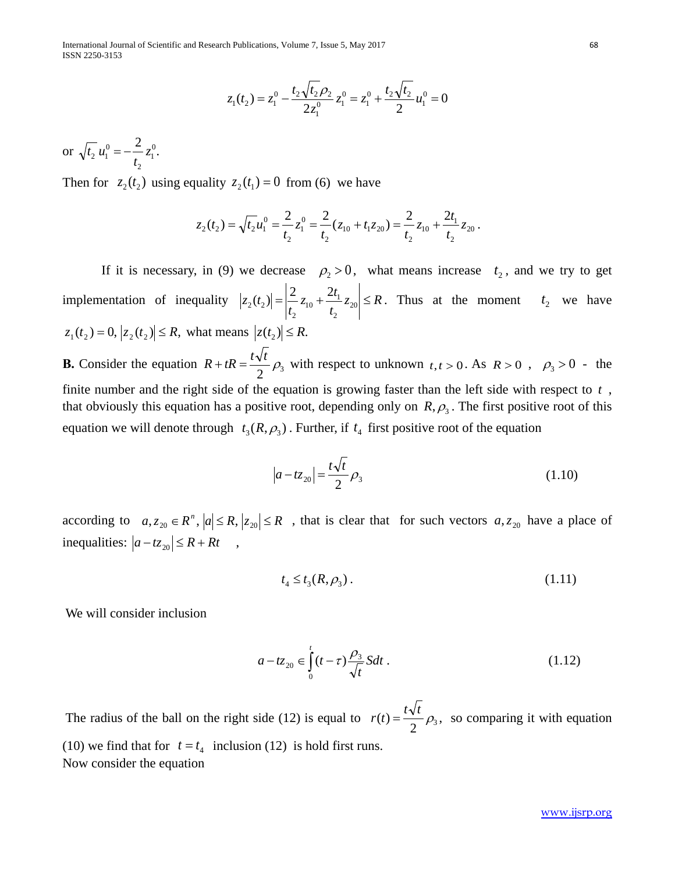International Journal of Scientific and Research Publications, Volume 7, Issue 5, May 2017 68 ISSN 2250-3153

$$
z_1(t_2) = z_1^0 - \frac{t_2\sqrt{t_2}\rho_2}{2z_1^0}z_1^0 = z_1^0 + \frac{t_2\sqrt{t_2}}{2}u_1^0 = 0
$$

or  $\sqrt{t_2} u_1^0 = -\frac{2}{4} z_1^0$ . 2  $u_1^0 = -\frac{2}{t_2}z$  $t_2 u_1^0 = -$ 

Then for  $z_2(t_2)$  using equality  $z_2(t_1) = 0$  from (6) we have

$$
z_2(t_2) = \sqrt{t_2}u_1^0 = \frac{2}{t_2}z_1^0 = \frac{2}{t_2}(z_{10} + t_1 z_{20}) = \frac{2}{t_2}z_{10} + \frac{2t_1}{t_2}z_{20}.
$$

If it is necessary, in (9) we decrease  $\rho_2 > 0$ , what means increase  $t_2$ , and we try to get implementation of inequality  $|z_2(t_2)| = \left|\frac{z_1}{z_{10}} + \frac{z_1}{z_{20}}\right| \le R$ *t*  $z_{10} + \frac{2t}{2}$  $|z_2(t_2)| = \left|\frac{2}{t_2}z_{10} + \frac{2t_1}{t_2}z_{20}\right| \leq$ 2  $t_{10} + \frac{2t_1}{t_1}$ 2  $|z_2(t_2)| = \left|\frac{2}{t_1}z_{10} + \frac{2t_1}{t_2}z_{20}\right| \le R$ . Thus at the moment  $t_2$  we have  $|z_1(t_2) = 0, |z_2(t_2)| \le R$ , what means  $|z(t_2)| \le R$ . **B.** Consider the equation  $R + tR = \frac{t\sqrt{t}}{2} \rho_3$  with respect to unknown  $t, t > 0$ . As  $R > 0$ ,  $\rho_3 > 0$ . the finite number and the right side of the equation is growing faster than the left side with respect to *t* , that obviously this equation has a positive root, depending only on  $R$ ,  $\rho_3$ . The first positive root of this equation we will denote through  $t_3(R, \rho_3)$ . Further, if  $t_4$  first positive root of the equation

$$
|a - tz_{20}| = \frac{t\sqrt{t}}{2}\rho_3
$$
 (1.10)

according to  $a, z_{20} \in R^n$ ,  $|a| \le R$ ,  $|z_{20}| \le R$ , that is clear that for such vectors  $a, z_{20}$  have a place of inequalities:  $|a-tz_{20}| \leq R + Rt$ ,

$$
t_4 \le t_3(R, \rho_3). \tag{1.11}
$$

We will consider inclusion

$$
a - t z_{20} \in \int_{0}^{t} (t - \tau) \frac{\rho_3}{\sqrt{t}} S dt .
$$
 (1.12)

The radius of the ball on the right side (12) is equal to  $r(t) = \frac{t\sqrt{t}}{2} \rho_3$ , so comparing it with equation (10) we find that for  $t = t_4$  inclusion (12) is hold first runs. Now consider the equation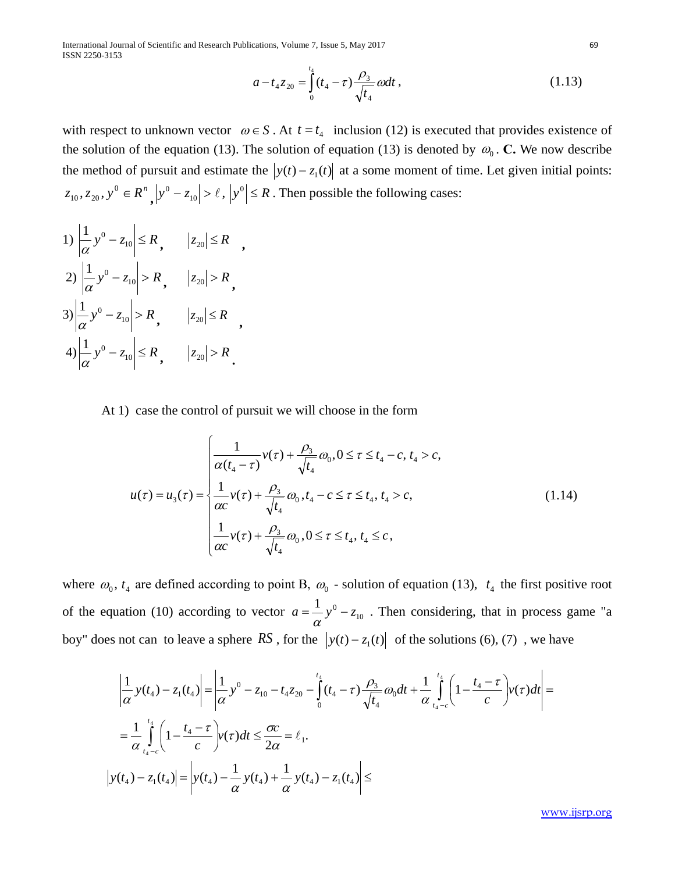International Journal of Scientific and Research Publications, Volume 7, Issue 5, May 2017 ISSN 2250-3153

$$
a - t_4 z_{20} = \int_0^{t_4} (t_4 - \tau) \frac{\rho_3}{\sqrt{t_4}} \omega dt , \qquad (1.13)
$$

with respect to unknown vector  $\omega \in S$ . At  $t = t_4$  inclusion (12) is executed that provides existence of the solution of the equation (13). The solution of equation (13) is denoted by  $\omega_0$ . **C.** We now describe the method of pursuit and estimate the  $|y(t) - z_1(t)|$  at a some moment of time. Let given initial points:  $z_{10}$ ,  $z_{20}$ ,  $y^0 \in R^n$ ,  $|y^0 - z_{10}| > \ell$ ,  $|y^0| \le R$ . Then possible the following cases:

 $1) \left| \frac{1}{\alpha} y^0 - z_{10} \right| \le R$ ,  $|z_{20}| \le R$ ,  $2) \left| \frac{1}{\alpha} y^0 - z_{10} \right| > R$ ,  $|z_{20}| > R$ ,  $3\left|\frac{1}{\alpha}y^{0}-z_{10}\right| > R$ ,  $|z_{20}| \leq R$ ,  $4$ ) $\left| \frac{1}{\alpha} y^0 - z_{10} \right| \le R$ ,  $|z_{20}| > R$ .

At 1) case the control of pursuit we will choose in the form

$$
u(\tau) = u_3(\tau) = \begin{cases} \frac{1}{\alpha(t_4 - \tau)} v(\tau) + \frac{\rho_3}{\sqrt{t_4}} \omega_0, 0 \le \tau \le t_4 - c, t_4 > c, \\ \frac{1}{\alpha c} v(\tau) + \frac{\rho_3}{\sqrt{t_4}} \omega_0, t_4 - c \le \tau \le t_4, t_4 > c, \\ \frac{1}{\alpha c} v(\tau) + \frac{\rho_3}{\sqrt{t_4}} \omega_0, 0 \le \tau \le t_4, t_4 \le c, \end{cases}
$$
(1.14)

where  $\omega_0$ ,  $t_4$  are defined according to point B,  $\omega_0$  - solution of equation (13),  $t_4$  the first positive root of the equation (10) according to vector  $a = \frac{1}{\alpha} y^0 - z_{10}$ . Then considering, that in process game "a boy" does not can to leave a sphere *RS*, for the  $|y(t) - z_1(t)|$  of the solutions (6), (7), we have

$$
\left| \frac{1}{\alpha} y(t_4) - z_1(t_4) \right| = \left| \frac{1}{\alpha} y^0 - z_{10} - t_4 z_{20} - \int_0^{t_4} (t_4 - \tau) \frac{\rho_3}{\sqrt{t_4}} \omega_0 dt + \frac{1}{\alpha} \int_{t_4 - c}^{t_4} \left( 1 - \frac{t_4 - \tau}{c} \right) v(\tau) dt \right| =
$$
\n
$$
= \frac{1}{\alpha} \int_{t_4 - c}^{t_4} \left( 1 - \frac{t_4 - \tau}{c} \right) v(\tau) dt \le \frac{\sigma c}{2\alpha} = \ell_1.
$$
\n
$$
\left| y(t_4) - z_1(t_4) \right| = \left| y(t_4) - \frac{1}{\alpha} y(t_4) + \frac{1}{\alpha} y(t_4) - z_1(t_4) \right| \le
$$

[www.ijsrp.org](http://ijsrp.org/)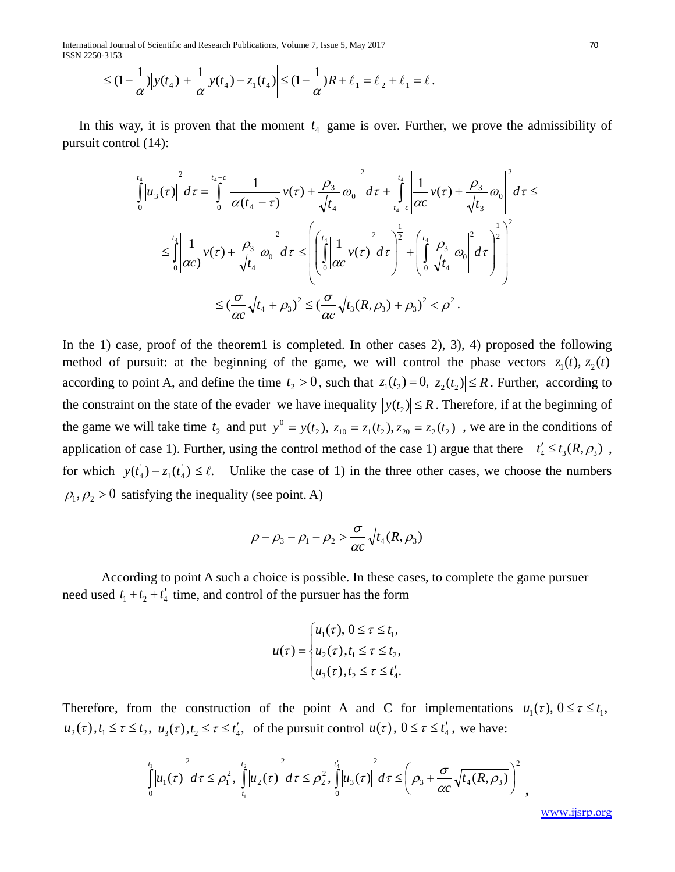International Journal of Scientific and Research Publications, Volume 7, Issue 5, May 2017 70 ISSN 2250-3153

$$
\leq (1 - \frac{1}{\alpha}) |y(t_4)| + \left| \frac{1}{\alpha} y(t_4) - z_1(t_4) \right| \leq (1 - \frac{1}{\alpha})R + \ell_1 = \ell_2 + \ell_1 = \ell.
$$

In this way, it is proven that the moment  $t_4$  game is over. Further, we prove the admissibility of pursuit control (14):

$$
\int_{0}^{t_{4}}\left|u_{3}(\tau)\right|^{2} d\tau = \int_{0}^{t_{4}-c}\left|\frac{1}{\alpha(t_{4}-\tau)}v(\tau)+\frac{\rho_{3}}{\sqrt{t_{4}}}\omega_{0}\right|^{2} d\tau + \int_{t_{4}-c}^{t_{4}}\left|\frac{1}{\alpha c}v(\tau)+\frac{\rho_{3}}{\sqrt{t_{3}}}\omega_{0}\right|^{2} d\tau \leq \int_{0}^{t_{4}}\left|\frac{1}{\alpha c}v(\tau)+\frac{\rho_{3}}{\sqrt{t_{4}}}\omega_{0}\right|^{2} d\tau \leq \left(\int_{0}^{t_{4}}\left|\frac{1}{\alpha c}v(\tau)\right|^{2} d\tau\right)^{\frac{1}{2}} + \left(\int_{0}^{t_{4}}\left|\frac{\rho_{3}}{\sqrt{t_{4}}}\omega_{0}\right|^{2} d\tau\right)^{\frac{1}{2}}\right)^{2}
$$

$$
\leq \left(\frac{\sigma}{\alpha c}\sqrt{t_{4}}+\rho_{3}\right)^{2} \leq \left(\frac{\sigma}{\alpha c}\sqrt{t_{3}(R,\rho_{3})}+\rho_{3}\right)^{2} < \rho^{2}.
$$

In the 1) case, proof of the theorem1 is completed. In other cases 2), 3), 4) proposed the following method of pursuit: at the beginning of the game, we will control the phase vectors  $z_1(t)$ ,  $z_2(t)$ according to point A, and define the time  $t_2 > 0$ , such that  $z_1(t_2) = 0$ ,  $|z_2(t_2)| \le R$ . Further, according to the constraint on the state of the evader we have inequality  $|y(t_2)| \leq R$ . Therefore, if at the beginning of the game we will take time  $t_2$  and put  $y^0 = y(t_2)$ ,  $z_{10} = z_1(t_2)$ ,  $z_{20} = z_2(t_2)$ , we are in the conditions of application of case 1). Further, using the control method of the case 1) argue that there  $t'_{4} \le t_{3}(R, \rho_{3})$ , for which  $|y(t_4) - z_1(t_4)| \le \ell$ . Unlike the case of 1) in the three other cases, we choose the numbers  $\rho_1, \rho_2 > 0$  satisfying the inequality (see point. A)

$$
\rho - \rho_3 - \rho_1 - \rho_2 > \frac{\sigma}{\alpha c} \sqrt{t_4(R, \rho_3)}
$$

According to point A such a choice is possible. In these cases, to complete the game pursuer need used  $t_1 + t_2 + t'_4$  time, and control of the pursuer has the form

$$
u(\tau) = \begin{cases} u_1(\tau), & 0 \leq \tau \leq t_1, \\ u_2(\tau), & t_1 \leq \tau \leq t_2, \\ u_3(\tau), & t_2 \leq \tau \leq t'_4. \end{cases}
$$

Therefore, from the construction of the point A and C for implementations  $u_1(\tau)$ ,  $0 \le \tau \le t_1$ ,  $u_2(\tau)$ ,  $t_1 \leq \tau \leq t_2$ ,  $u_3(\tau)$ ,  $t_2 \leq \tau \leq t'_4$ , of the pursuit control  $u(\tau)$ ,  $0 \leq \tau \leq t'_4$ , we have:

$$
\int_{0}^{t_1} |u_1(\tau)|^{2} d\tau \leq \rho_1^{2}, \int_{t_1}^{t_2} |u_2(\tau)|^{2} d\tau \leq \rho_2^{2}, \int_{0}^{t_4} |u_3(\tau)|^{2} d\tau \leq \left(\rho_3 + \frac{\sigma}{\alpha c} \sqrt{t_4(R,\rho_3)}\right)^{2},
$$

[www.ijsrp.org](http://ijsrp.org/)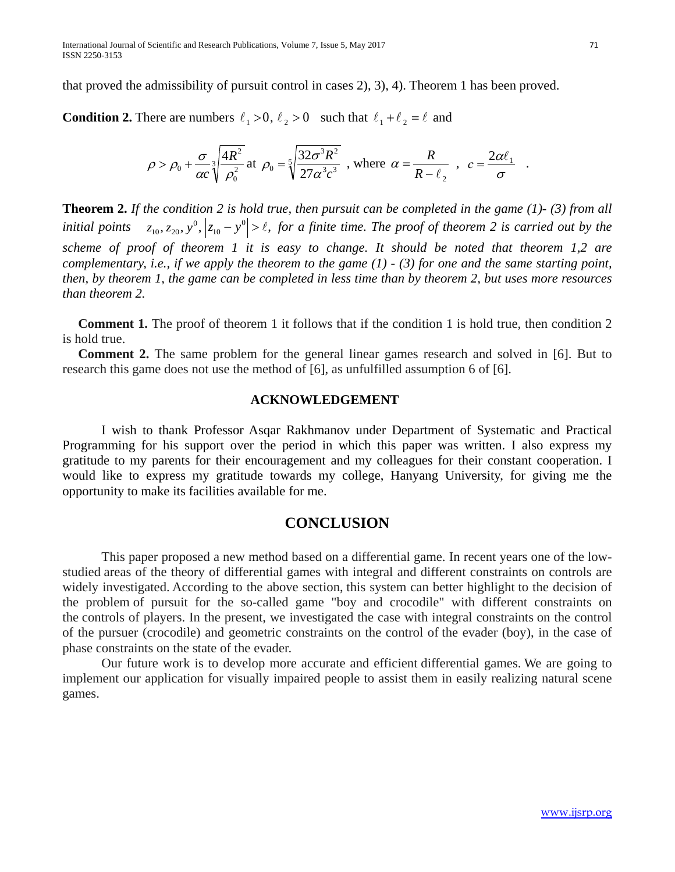that proved the admissibility of pursuit control in cases 2), 3), 4). Theorem 1 has been proved.

**Condition 2.** There are numbers  $\ell_1 > 0$ ,  $\ell_2 > 0$  such that  $\ell_1 + \ell_2 = \ell$  and

$$
\rho > \rho_0 + \frac{\sigma}{\alpha c} \sqrt[3]{\frac{4R^2}{\rho_0^2}} \text{ at } \rho_0 = \sqrt[5]{\frac{32\sigma^3 R^2}{27\alpha^3 c^3}} \text{ , where } \alpha = \frac{R}{R - \ell_2} \text{ , } c = \frac{2\alpha \ell_1}{\sigma} \text{ .}
$$

**Theorem 2.** *If the condition 2 is hold true, then pursuit can be completed in the game (1)- (3) from all initial points*  $z_{10}, z_{20}, y^0, |z_{10} - y^0| > \ell$ , for a finite time. The proof of theorem 2 is carried out by the *scheme of proof of theorem 1 it is easy to change. It should be noted that theorem 1,2 are complementary, i.e., if we apply the theorem to the game (1) - (3) for one and the same starting point, then, by theorem 1, the game can be completed in less time than by theorem 2, but uses more resources than theorem 2.*

**Comment 1.** The proof of theorem 1 it follows that if the condition 1 is hold true, then condition 2 is hold true.

**Comment 2.** The same problem for the general linear games research and solved in [6]. But to research this game does not use the method of [6], as unfulfilled assumption 6 of [6].

### **ACKNOWLEDGEMENT**

I wish to thank Professor Asqar Rakhmanov under Department of Systematic and Practical Programming for his support over the period in which this paper was written. I also express my gratitude to my parents for their encouragement and my colleagues for their constant cooperation. I would like to express my gratitude towards my college, Hanyang University, for giving me the opportunity to make its facilities available for me.

# **CONCLUSION**

This paper proposed a new method based on a differential game. In recent years one of the lowstudied areas of the theory of differential games with integral and different constraints on controls are widely investigated. According to the above section, this system can better highlight to the decision of the problem of pursuit for the so-called game "boy and crocodile" with different constraints on the controls of players. In the present, we investigated the case with integral constraints on the control of the pursuer (crocodile) and geometric constraints on the control of the evader (boy), in the case of phase constraints on the state of the evader.

Our future work is to develop more accurate and efficient differential games. We are going to implement our application for visually impaired people to assist them in easily realizing natural scene games.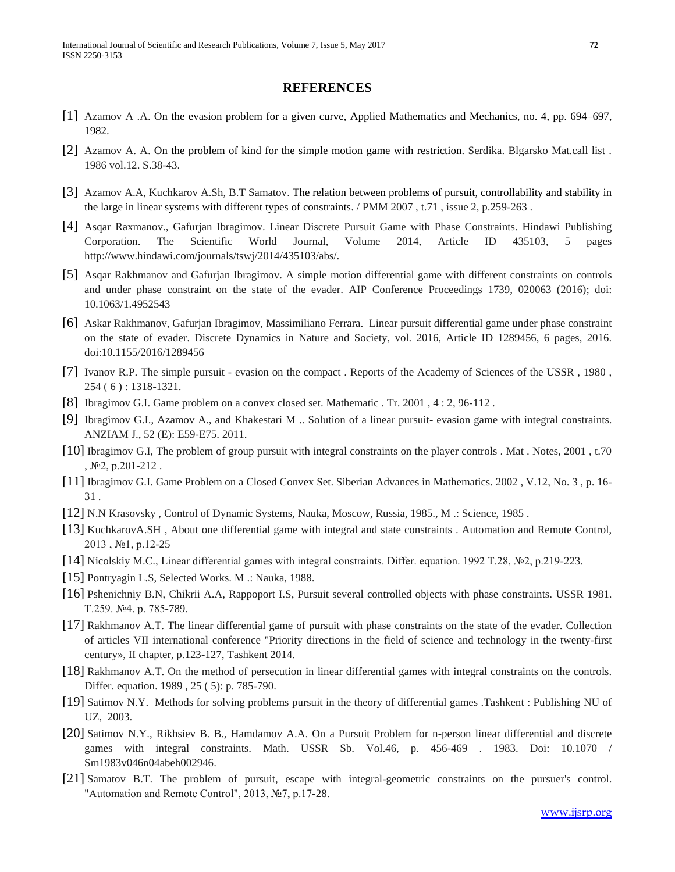#### **REFERENCES**

- [1] Azamov A .A. On the evasion problem for a given curve, Applied Mathematics and Mechanics, no. 4, pp. 694–697, 1982.
- [2] Azamov A. A. On the problem of kind for the simple motion game with restriction. Serdika. Blgarsko Mat.call list . 1986 vol.12. S.38-43.
- [3] Azamov A.A, Kuchkarov A.Sh, B.T Samatov. The relation between problems of pursuit, controllability and stability in the large in linear systems with different types of constraints. / PMM 2007 , t.71 , issue 2, p.259-263 .
- [4] Asqar Raxmanov., Gafurjan Ibragimov. Linear Discrete Pursuit Game with Phase Constraints. Hindawi Publishing Corporation. The Scientific World Journal, Volume 2014, Article ID 435103, 5 pages http://www.hindawi.com/journals/tswj/2014/435103/abs/.
- [5] Asqar Rakhmanov and Gafurjan Ibragimov. A simple motion differential game with different constraints on controls and under phase constraint on the state of the evader. AIP Conference Proceedings 1739, 020063 (2016); doi: 10.1063/1.4952543
- [6] Askar Rakhmanov, Gafurjan Ibragimov, Massimiliano Ferrara. Linear pursuit differential game under phase constraint on the state of evader. Discrete Dynamics in Nature and Society, vol. 2016, Article ID 1289456, 6 pages, 2016. doi:10.1155/2016/1289456
- [7] Ivanov R.P. The simple pursuit evasion on the compact . Reports of the Academy of Sciences of the USSR , 1980 , 254 ( 6 ) : 1318-1321.
- [8] Ibragimov G.I. Game problem on a convex closed set. Mathematic . Tr. 2001 , 4 : 2, 96-112 .
- [9] Ibragimov G.I., Azamov A., and Khakestari M .. Solution of a linear pursuit- evasion game with integral constraints. ANZIAM J., 52 (E): E59-E75. 2011.
- [10] Ibragimov G.I, The problem of group pursuit with integral constraints on the player controls . Mat . Notes, 2001 , t.70 , №2, p.201-212 .
- [11] Ibragimov G.I. Game Problem on a Closed Convex Set. Siberian Advances in Mathematics. 2002 , V.12, No. 3 , p. 16- 31 .
- [12] N.N Krasovsky , Control of Dynamic Systems, Nauka, Moscow, Russia, 1985., M .: Science, 1985 .
- [13] KuchkarovA.SH , About one differential game with integral and state constraints . Automation and Remote Control, 2013 , №1, p.12-25
- [14] Nicolskiy M.C., Linear differential games with integral constraints. Differ. equation. 1992 T.28, №2, p.219-223.
- [15] Pontryagin L.S, Selected Works. M .: Nauka, 1988.
- [16] Pshenichniy B.N, Chikrii A.A, Rappoport I.S, Pursuit several controlled objects with phase constraints. USSR 1981. T.259. №4. p. 785-789.
- [17] Rakhmanov A.T. The linear differential game of pursuit with phase constraints on the state of the evader. Collection of articles VII international conference "Priority directions in the field of science and technology in the twenty-first century», II chapter, p.123-127, Tashkent 2014.
- [18] Rakhmanov A.T. On the method of persecution in linear differential games with integral constraints on the controls. Differ. equation. 1989 , 25 ( 5): p. 785-790.
- [19] Satimov N.Y. Methods for solving problems pursuit in the theory of differential games .Tashkent : Publishing NU of UZ, 2003.
- [20] Satimov N.Y., Rikhsiev B. B., Hamdamov A.A. On a Pursuit Problem for n-person linear differential and discrete games with integral constraints. Math. USSR Sb. Vol.46, p. 456-469 . 1983. Doi: 10.1070 / Sm1983v046n04abeh002946.
- [21] Samatov B.T. The problem of pursuit, escape with integral-geometric constraints on the pursuer's control. "Automation and Remote Control", 2013, №7, p.17-28.